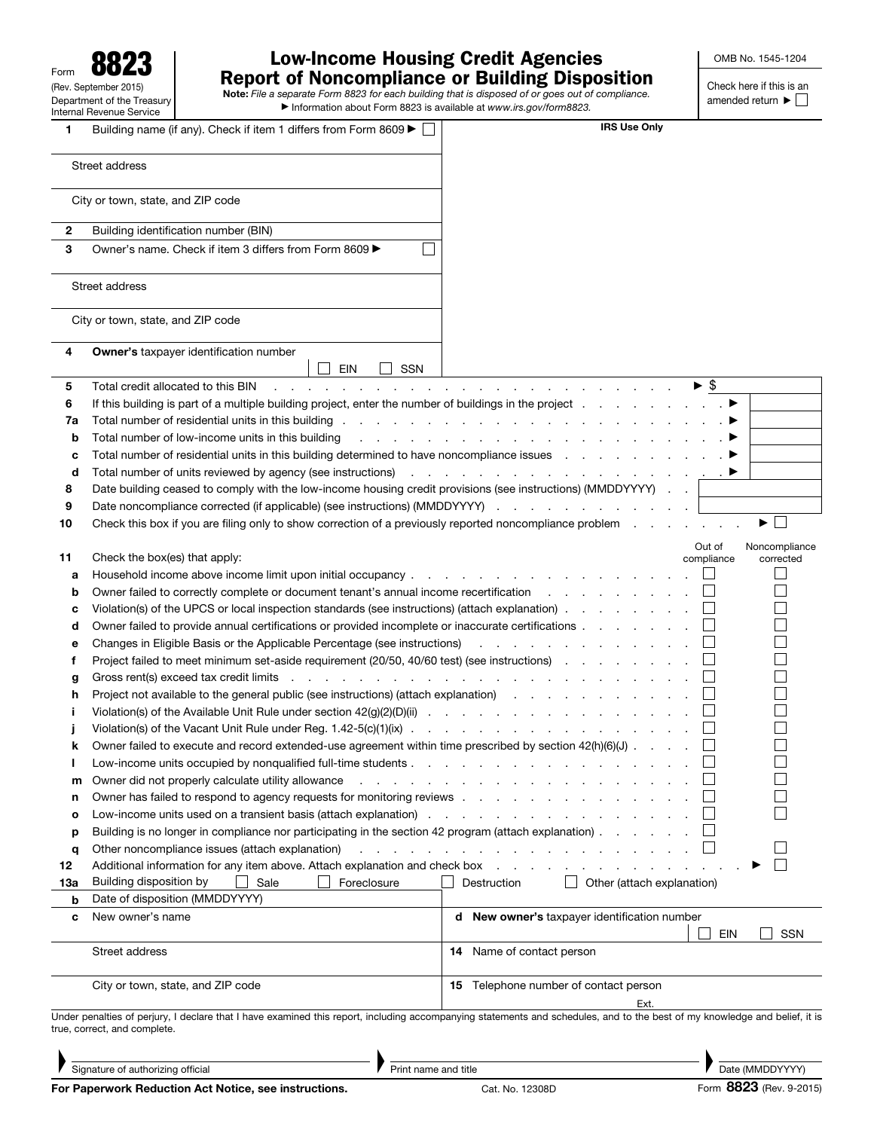| 8823<br>Form                                                  |  |  |  |  |  |  |  |  |
|---------------------------------------------------------------|--|--|--|--|--|--|--|--|
| (Rev. September 2015)                                         |  |  |  |  |  |  |  |  |
| Department of the Treasury<br><b>Internal Revenue Service</b> |  |  |  |  |  |  |  |  |

# Low-Income Housing Credit Agencies Report of Noncompliance or Building Disposition<br>Note: *File a separate Form 8823 for each building that is disposed of or goes out of compliance.*

▶ Information about Form 8823 is available at *www.irs.gov/form8823.*

Check here if this is an amended return  $\blacktriangleright$   $\Box$ 

| 1   | Building name (if any). Check if item 1 differs from Form 8609                                                                                                                                                                 | <b>IRS Use Only</b>                                                                                                                                                                                                                                        |  |  |  |  |  |
|-----|--------------------------------------------------------------------------------------------------------------------------------------------------------------------------------------------------------------------------------|------------------------------------------------------------------------------------------------------------------------------------------------------------------------------------------------------------------------------------------------------------|--|--|--|--|--|
|     | Street address                                                                                                                                                                                                                 |                                                                                                                                                                                                                                                            |  |  |  |  |  |
|     | City or town, state, and ZIP code                                                                                                                                                                                              |                                                                                                                                                                                                                                                            |  |  |  |  |  |
| 2   | Building identification number (BIN)                                                                                                                                                                                           |                                                                                                                                                                                                                                                            |  |  |  |  |  |
| 3   | Owner's name. Check if item 3 differs from Form 8609 ▶                                                                                                                                                                         |                                                                                                                                                                                                                                                            |  |  |  |  |  |
|     |                                                                                                                                                                                                                                |                                                                                                                                                                                                                                                            |  |  |  |  |  |
|     | Street address                                                                                                                                                                                                                 |                                                                                                                                                                                                                                                            |  |  |  |  |  |
|     | City or town, state, and ZIP code                                                                                                                                                                                              |                                                                                                                                                                                                                                                            |  |  |  |  |  |
| 4   | Owner's taxpayer identification number<br>EIN<br><b>SSN</b>                                                                                                                                                                    |                                                                                                                                                                                                                                                            |  |  |  |  |  |
| 5   | Total credit allocated to this BIN                                                                                                                                                                                             | $\blacktriangleright$ \$<br>and the company of the company of the company of the company of the company of the company of the company of the company of the company of the company of the company of the company of the company of the company of the comp |  |  |  |  |  |
| 6   |                                                                                                                                                                                                                                |                                                                                                                                                                                                                                                            |  |  |  |  |  |
| 7a  |                                                                                                                                                                                                                                |                                                                                                                                                                                                                                                            |  |  |  |  |  |
| b   | Total number of low-income units in this building                                                                                                                                                                              | . The contract of the contract of the contract of the contract of $\blacktriangleright$                                                                                                                                                                    |  |  |  |  |  |
| с   | Total number of residential units in this building determined to have noncompliance issues entirstance of residential units in this building determined to have noncompliance issues entirely and the set of the set of the s  |                                                                                                                                                                                                                                                            |  |  |  |  |  |
| d   | Total number of units reviewed by agency (see instructions) referred and contact the contact of the state of the state of the state of the state of the state of the state of the state of the state of the state of the state |                                                                                                                                                                                                                                                            |  |  |  |  |  |
| 8   | Date building ceased to comply with the low-income housing credit provisions (see instructions) (MMDDYYYY)                                                                                                                     |                                                                                                                                                                                                                                                            |  |  |  |  |  |
| 9   | Date noncompliance corrected (if applicable) (see instructions) (MMDDYYYY)                                                                                                                                                     |                                                                                                                                                                                                                                                            |  |  |  |  |  |
| 10  | Check this box if you are filing only to show correction of a previously reported noncompliance problem                                                                                                                        | ▶                                                                                                                                                                                                                                                          |  |  |  |  |  |
| 11  | Check the box(es) that apply:                                                                                                                                                                                                  | Out of<br>Noncompliance<br>compliance<br>corrected                                                                                                                                                                                                         |  |  |  |  |  |
| а   |                                                                                                                                                                                                                                |                                                                                                                                                                                                                                                            |  |  |  |  |  |
| b   | Owner failed to correctly complete or document tenant's annual income recertification                                                                                                                                          |                                                                                                                                                                                                                                                            |  |  |  |  |  |
| c   | Violation(s) of the UPCS or local inspection standards (see instructions) (attach explanation)                                                                                                                                 |                                                                                                                                                                                                                                                            |  |  |  |  |  |
| d   | Owner failed to provide annual certifications or provided incomplete or inaccurate certifications                                                                                                                              |                                                                                                                                                                                                                                                            |  |  |  |  |  |
| е   | Changes in Eligible Basis or the Applicable Percentage (see instructions)                                                                                                                                                      | and the contract of the contract of the                                                                                                                                                                                                                    |  |  |  |  |  |
| f   | Project failed to meet minimum set-aside requirement (20/50, 40/60 test) (see instructions)                                                                                                                                    |                                                                                                                                                                                                                                                            |  |  |  |  |  |
| g   | Gross rent(s) exceed tax credit limits response to represent the contract of the contract of the contract of the contract of the contract of the contract of the contract of the contract of the contract of the contract of t |                                                                                                                                                                                                                                                            |  |  |  |  |  |
| h   | Project not available to the general public (see instructions) (attach explanation)                                                                                                                                            |                                                                                                                                                                                                                                                            |  |  |  |  |  |
| Ĩ.  |                                                                                                                                                                                                                                |                                                                                                                                                                                                                                                            |  |  |  |  |  |
|     |                                                                                                                                                                                                                                |                                                                                                                                                                                                                                                            |  |  |  |  |  |
| k   | Owner failed to execute and record extended-use agreement within time prescribed by section 42(h)(6)(J)                                                                                                                        |                                                                                                                                                                                                                                                            |  |  |  |  |  |
| ш   | Low-income units occupied by nonqualified full-time students                                                                                                                                                                   |                                                                                                                                                                                                                                                            |  |  |  |  |  |
| m   | Owner did not properly calculate utility allowance                                                                                                                                                                             | the contract of the contract of the contract of the con-                                                                                                                                                                                                   |  |  |  |  |  |
| n   | Owner has failed to respond to agency requests for monitoring reviews                                                                                                                                                          |                                                                                                                                                                                                                                                            |  |  |  |  |  |
| o   | Low-income units used on a transient basis (attach explanation) and the contract of the contract of the contract of the contract of the contract of the contract of the contract of the contract of the contract of the contra |                                                                                                                                                                                                                                                            |  |  |  |  |  |
| р   | Building is no longer in compliance nor participating in the section 42 program (attach explanation)                                                                                                                           |                                                                                                                                                                                                                                                            |  |  |  |  |  |
| q   | Other noncompliance issues (attach explanation)                                                                                                                                                                                | and a series of the contract of the contract of the contract of                                                                                                                                                                                            |  |  |  |  |  |
| 12  | Additional information for any item above. Attach explanation and check box                                                                                                                                                    | $\sim$ $\sim$                                                                                                                                                                                                                                              |  |  |  |  |  |
| 13а | Building disposition by<br>Sale<br>Foreclosure                                                                                                                                                                                 | Other (attach explanation)<br>Destruction                                                                                                                                                                                                                  |  |  |  |  |  |
| b   | Date of disposition (MMDDYYYY)                                                                                                                                                                                                 |                                                                                                                                                                                                                                                            |  |  |  |  |  |
| c   | New owner's name                                                                                                                                                                                                               | d New owner's taxpayer identification number<br><b>EIN</b><br><b>SSN</b>                                                                                                                                                                                   |  |  |  |  |  |
|     | Street address                                                                                                                                                                                                                 | 14 Name of contact person                                                                                                                                                                                                                                  |  |  |  |  |  |
|     | City or town, state, and ZIP code                                                                                                                                                                                              | <b>15</b> Telephone number of contact person<br>Ext.                                                                                                                                                                                                       |  |  |  |  |  |
|     |                                                                                                                                                                                                                                | Under penalties of perjury, I declare that I have examined this report, including accompanying statements and schedules, and to the best of my knowledge and belief, it is                                                                                 |  |  |  |  |  |
|     | true, correct, and complete.                                                                                                                                                                                                   |                                                                                                                                                                                                                                                            |  |  |  |  |  |

Signature of authorizing official

▲

Print name and title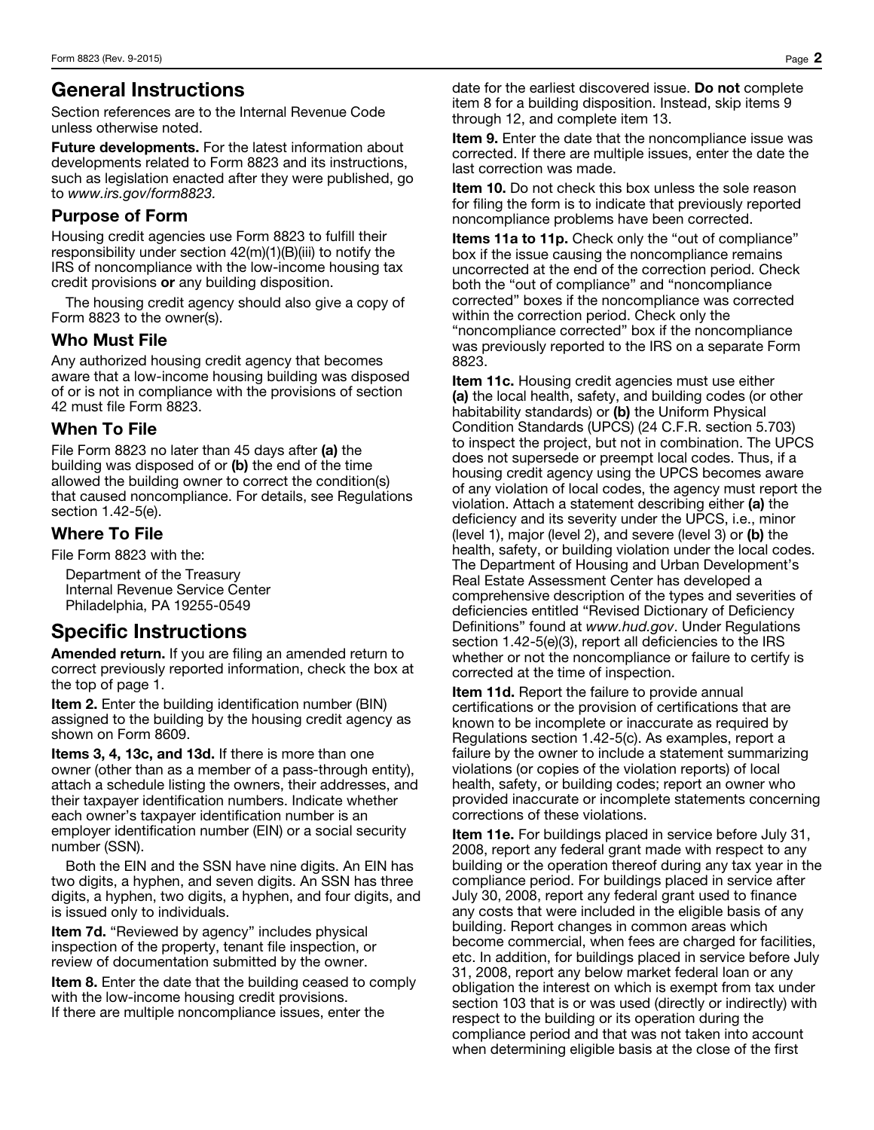### General Instructions

Section references are to the Internal Revenue Code unless otherwise noted.

**Future developments.** For the latest information about developments related to Form 8823 and its instructions, such as legislation enacted after they were published, go to *www.irs.gov/form8823.*

#### Purpose of Form

Housing credit agencies use Form 8823 to fulfill their responsibility under section 42(m)(1)(B)(iii) to notify the IRS of noncompliance with the low-income housing tax credit provisions or any building disposition.

The housing credit agency should also give a copy of Form 8823 to the owner(s).

#### Who Must File

Any authorized housing credit agency that becomes aware that a low-income housing building was disposed of or is not in compliance with the provisions of section 42 must file Form 8823.

#### When To File

File Form 8823 no later than 45 days after (a) the building was disposed of or (b) the end of the time allowed the building owner to correct the condition(s) that caused noncompliance. For details, see Regulations section 1.42-5(e).

#### Where To File

File Form 8823 with the:

Department of the Treasury Internal Revenue Service Center Philadelphia, PA 19255-0549

## Specific Instructions

Amended return. If you are filing an amended return to correct previously reported information, check the box at the top of page 1.

**Item 2.** Enter the building identification number (BIN) assigned to the building by the housing credit agency as shown on Form 8609.

Items 3, 4, 13c, and 13d. If there is more than one owner (other than as a member of a pass-through entity), attach a schedule listing the owners, their addresses, and their taxpayer identification numbers. Indicate whether each owner's taxpayer identification number is an employer identification number (EIN) or a social security number (SSN).

Both the EIN and the SSN have nine digits. An EIN has two digits, a hyphen, and seven digits. An SSN has three digits, a hyphen, two digits, a hyphen, and four digits, and is issued only to individuals.

Item 7d. "Reviewed by agency" includes physical inspection of the property, tenant file inspection, or review of documentation submitted by the owner.

Item 8. Enter the date that the building ceased to comply with the low-income housing credit provisions. If there are multiple noncompliance issues, enter the

date for the earliest discovered issue. Do not complete item 8 for a building disposition. Instead, skip items 9 through 12, and complete item 13.

Item 9. Enter the date that the noncompliance issue was corrected. If there are multiple issues, enter the date the last correction was made.

**Item 10.** Do not check this box unless the sole reason for filing the form is to indicate that previously reported noncompliance problems have been corrected.

Items 11a to 11p. Check only the "out of compliance" box if the issue causing the noncompliance remains uncorrected at the end of the correction period. Check both the "out of compliance" and "noncompliance corrected" boxes if the noncompliance was corrected within the correction period. Check only the "noncompliance corrected" box if the noncompliance was previously reported to the IRS on a separate Form 8823.

**Item 11c.** Housing credit agencies must use either (a) the local health, safety, and building codes (or other habitability standards) or (b) the Uniform Physical Condition Standards (UPCS) (24 C.F.R. section 5.703) to inspect the project, but not in combination. The UPCS does not supersede or preempt local codes. Thus, if a housing credit agency using the UPCS becomes aware of any violation of local codes, the agency must report the violation. Attach a statement describing either (a) the deficiency and its severity under the UPCS, i.e., minor (level 1), major (level 2), and severe (level 3) or (b) the health, safety, or building violation under the local codes. The Department of Housing and Urban Development's Real Estate Assessment Center has developed a comprehensive description of the types and severities of deficiencies entitled "Revised Dictionary of Deficiency Definitions" found at *www.hud.gov*. Under Regulations section 1.42-5(e)(3), report all deficiencies to the IRS whether or not the noncompliance or failure to certify is corrected at the time of inspection.

Item 11d. Report the failure to provide annual certifications or the provision of certifications that are known to be incomplete or inaccurate as required by Regulations section 1.42-5(c). As examples, report a failure by the owner to include a statement summarizing violations (or copies of the violation reports) of local health, safety, or building codes; report an owner who provided inaccurate or incomplete statements concerning corrections of these violations.

Item 11e. For buildings placed in service before July 31, 2008, report any federal grant made with respect to any building or the operation thereof during any tax year in the compliance period. For buildings placed in service after July 30, 2008, report any federal grant used to finance any costs that were included in the eligible basis of any building. Report changes in common areas which become commercial, when fees are charged for facilities, etc. In addition, for buildings placed in service before July 31, 2008, report any below market federal loan or any obligation the interest on which is exempt from tax under section 103 that is or was used (directly or indirectly) with respect to the building or its operation during the compliance period and that was not taken into account when determining eligible basis at the close of the first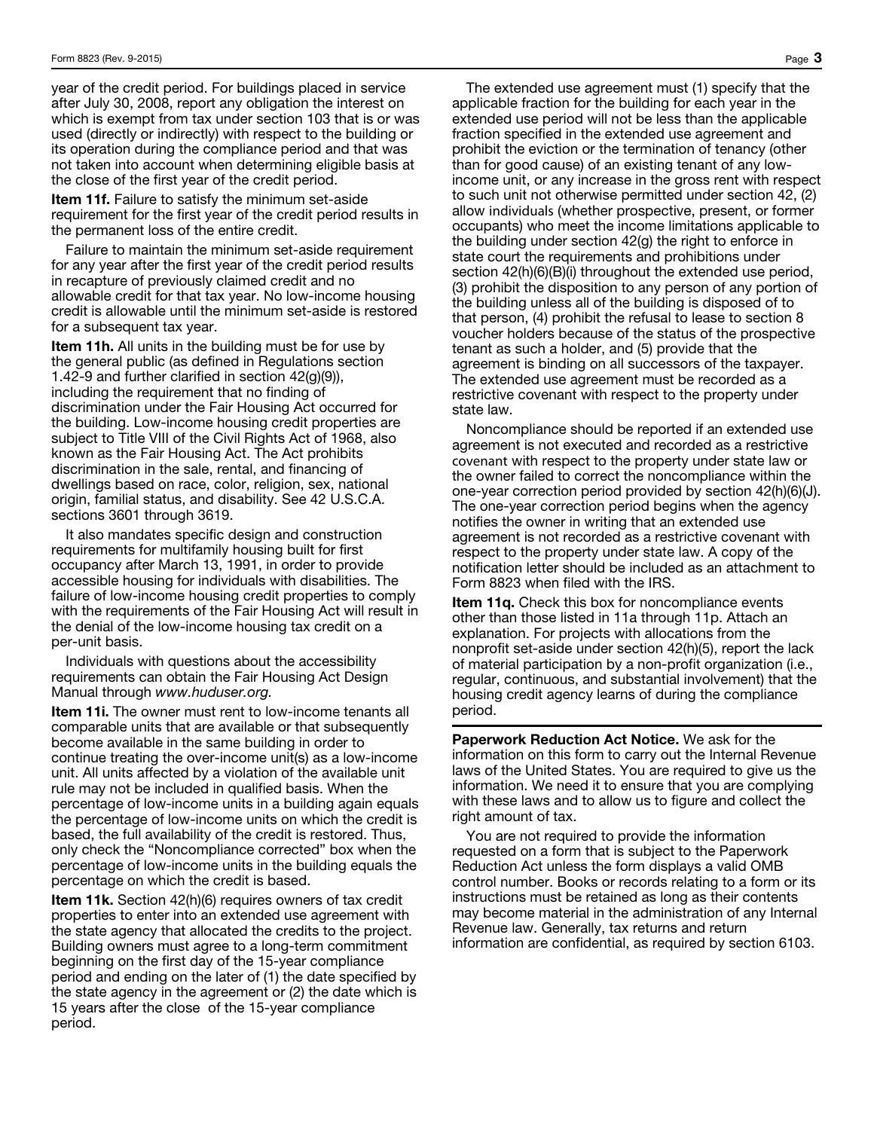year of the credit period. For buildings placed in service after July 30, 2008, report any obligation the interest on which is exempt from tax under section 103 that is or was used (directly or indirectly) with respect to the building or its operation during the compliance period and that was not taken into account when determining eligible basis at the close of the first year of the credit period.

Item 11f. Failure to satisfy the minimum set-aside requirement for the first year of the credit period results in the permanent loss of the entire credit.

Failure to maintain the minimum set-aside requirement for any year after the first year of the credit period results in recapture of previously claimed credit and no allowable credit for that tax year. No low-income housing credit is allowable until the minimum set-aside is restored for a subsequent tax year.

Item 11h. All units in the building must be for use by the general public (as defined in Regulations section 1.42-9 and further clarified in section 42(g)(9)), including the requirement that no finding of discrimination under the Fair Housing Act occurred for the building. Low-income housing credit properties are subject to Title VIII of the Civil Rights Act of 1968, also known as the Fair Housing Act. The Act prohibits discrimination in the sale, rental, and financing of dwellings based on race, color, religion, sex, national origin, familial status, and disability. See 42 U.S.C.A. sections 3601 through 3619.

It also mandates specific design and construction requirements for multifamily housing built for first occupancy after March 13, 1991, in order to provide accessible housing for individuals with disabilities. The failure of low-income housing credit properties to comply with the requirements of the Fair Housing Act will result in the denial of the low-income housing tax credit on a per-unit basis.

Individuals with questions about the accessibility requirements can obtain the Fair Housing Act Design Manual through *www.huduser.org.*

Item 11i. The owner must rent to low-income tenants all comparable units that are available or that subsequently become available in the same building in order to continue treating the over-income unit(s) as a low-income unit. All units affected by a violation of the available unit rule may not be included in qualified basis. When the percentage of low-income units in a building again equals the percentage of low-income units on which the credit is based, the full availability of the credit is restored. Thus, only check the "Noncompliance corrected" box when the percentage of low-income units in the building equals the percentage on which the credit is based.

**Item 11k.** Section 42(h)(6) requires owners of tax credit properties to enter into an extended use agreement with the state agency that allocated the credits to the project. Building owners must agree to a long-term commitment beginning on the first day of the 15-year compliance period and ending on the later of (1) the date specified by the state agency in the agreement or (2) the date which is 15 years after the close of the 15-year compliance period.

The extended use agreement must (1) specify that the applicable fraction for the building for each year in the extended use period will not be less than the applicable fraction specified in the extended use agreement and prohibit the eviction or the termination of tenancy (other than for good cause) of an existing tenant of any lowincome unit, or any increase in the gross rent with respect to such unit not otherwise permitted under section 42, (2) allow individuals (whether prospective, present, or former occupants) who meet the income limitations applicable to the building under section 42(g) the right to enforce in state court the requirements and prohibitions under section 42(h)(6)(B)(i) throughout the extended use period, (3) prohibit the disposition to any person of any portion of the building unless all of the building is disposed of to that person, (4) prohibit the refusal to lease to section 8 voucher holders because of the status of the prospective tenant as such a holder, and (5) provide that the agreement is binding on all successors of the taxpayer. The extended use agreement must be recorded as a restrictive covenant with respect to the property under state law.

Noncompliance should be reported if an extended use agreement is not executed and recorded as a restrictive covenant with respect to the property under state law or the owner failed to correct the noncompliance within the one-year correction period provided by section 42(h)(6)(J). The one-year correction period begins when the agency notifies the owner in writing that an extended use agreement is not recorded as a restrictive covenant with respect to the property under state law. A copy of the notification letter should be included as an attachment to Form 8823 when filed with the IRS.

Item 11q. Check this box for noncompliance events other than those listed in 11a through 11p. Attach an explanation. For projects with allocations from the nonprofit set-aside under section 42(h)(5), report the lack of material participation by a non-profit organization (i.e., regular, continuous, and substantial involvement) that the housing credit agency learns of during the compliance period.

Paperwork Reduction Act Notice. We ask for the information on this form to carry out the Internal Revenue laws of the United States. You are required to give us the information. We need it to ensure that you are complying with these laws and to allow us to figure and collect the right amount of tax.

You are not required to provide the information requested on a form that is subject to the Paperwork Reduction Act unless the form displays a valid OMB control number. Books or records relating to a form or its instructions must be retained as long as their contents may become material in the administration of any Internal Revenue law. Generally, tax returns and return information are confidential, as required by section 6103.